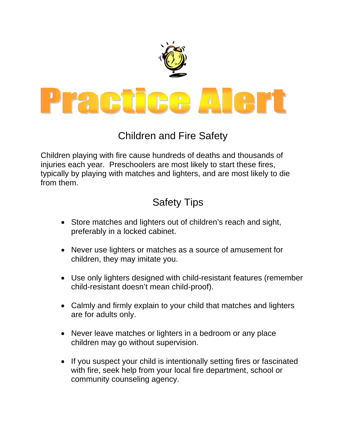

## Children and Fire Safety

Children playing with fire cause hundreds of deaths and thousands of injuries each year. Preschoolers are most likely to start these fires, typically by playing with matches and lighters, and are most likely to die from them.

## Safety Tips

- Store matches and lighters out of children's reach and sight, preferably in a locked cabinet.
- Never use lighters or matches as a source of amusement for children, they may imitate you.
- Use only lighters designed with child-resistant features (remember child-resistant doesn't mean child-proof).
- Calmly and firmly explain to your child that matches and lighters are for adults only.
- Never leave matches or lighters in a bedroom or any place children may go without supervision.
- If you suspect your child is intentionally setting fires or fascinated with fire, seek help from your local fire department, school or community counseling agency.